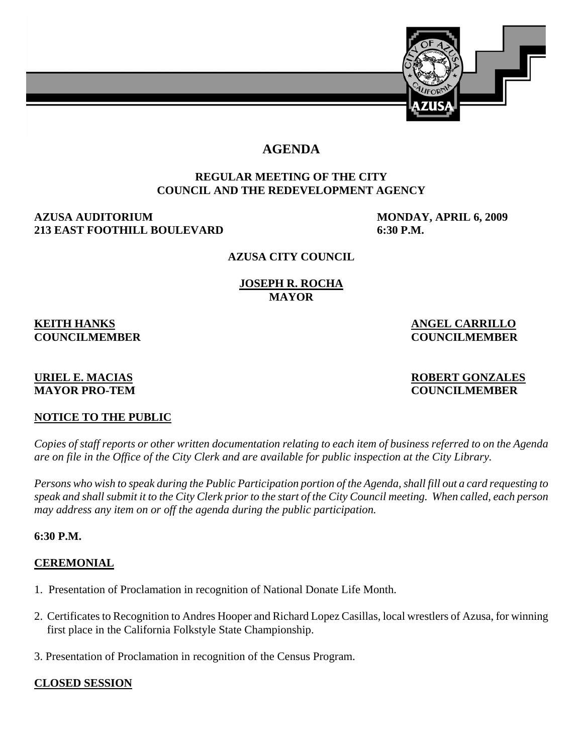

# **AGENDA**

# **REGULAR MEETING OF THE CITY COUNCIL AND THE REDEVELOPMENT AGENCY**

# **AZUSA AUDITORIUM MONDAY, APRIL 6, 2009 213 EAST FOOTHILL BOULEVARD 6:30 P.M.**

# **AZUSA CITY COUNCIL**

#### **JOSEPH R. ROCHA MAYOR**

# **KEITH HANKS** ANGEL CARRILLO

# **COUNCILMEMBER COUNCILMEMBER**

#### **URIEL E. MACIAS ROBERT GONZALES MAYOR PRO-TEM COUNCILMEMBER**

# **NOTICE TO THE PUBLIC**

*Copies of staff reports or other written documentation relating to each item of business referred to on the Agenda are on file in the Office of the City Clerk and are available for public inspection at the City Library.* 

*Persons who wish to speak during the Public Participation portion of the Agenda, shall fill out a card requesting to speak and shall submit it to the City Clerk prior to the start of the City Council meeting. When called, each person may address any item on or off the agenda during the public participation.*

# **6:30 P.M.**

# **CEREMONIAL**

- 1. Presentation of Proclamation in recognition of National Donate Life Month.
- 2. Certificates to Recognition to Andres Hooper and Richard Lopez Casillas, local wrestlers of Azusa, for winning first place in the California Folkstyle State Championship.
- 3. Presentation of Proclamation in recognition of the Census Program.

# **CLOSED SESSION**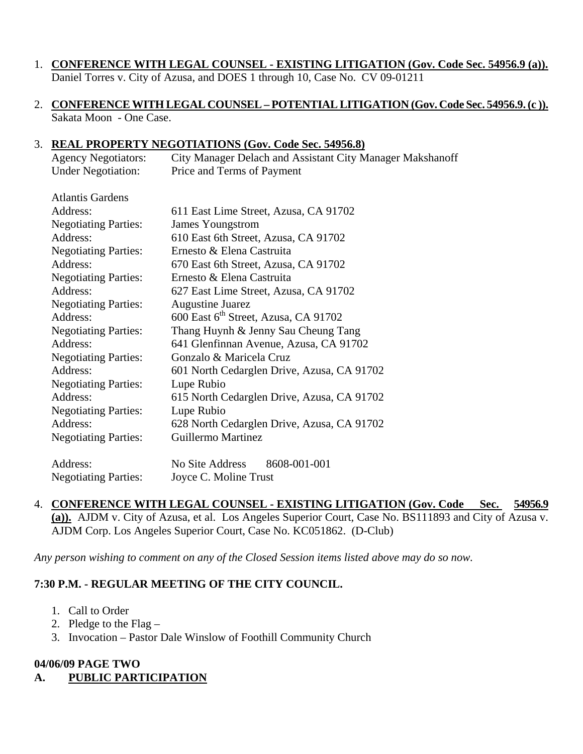# 1. **CONFERENCE WITH LEGAL COUNSEL - EXISTING LITIGATION (Gov. Code Sec. 54956.9 (a)).**

Daniel Torres v. City of Azusa, and DOES 1 through 10, Case No. CV 09-01211

2. **CONFERENCE WITH LEGAL COUNSEL – POTENTIAL LITIGATION (Gov. Code Sec. 54956.9. (c )).** Sakata Moon - One Case.

# 3. **REAL PROPERTY NEGOTIATIONS (Gov. Code Sec. 54956.8)**

| <b>Agency Negotiators:</b> | City Manager Delach and Assistant City Manager Makshanoff |
|----------------------------|-----------------------------------------------------------|
| <b>Under Negotiation:</b>  | Price and Terms of Payment                                |
|                            |                                                           |

| <b>Atlantis Gardens</b>     |                                                  |
|-----------------------------|--------------------------------------------------|
| Address:                    | 611 East Lime Street, Azusa, CA 91702            |
| <b>Negotiating Parties:</b> | <b>James Youngstrom</b>                          |
| Address:                    | 610 East 6th Street, Azusa, CA 91702             |
| <b>Negotiating Parties:</b> | Ernesto & Elena Castruita                        |
| Address:                    | 670 East 6th Street, Azusa, CA 91702             |
| <b>Negotiating Parties:</b> | Ernesto & Elena Castruita                        |
| Address:                    | 627 East Lime Street, Azusa, CA 91702            |
| <b>Negotiating Parties:</b> | <b>Augustine Juarez</b>                          |
| Address:                    | 600 East 6 <sup>th</sup> Street, Azusa, CA 91702 |
| <b>Negotiating Parties:</b> | Thang Huynh & Jenny Sau Cheung Tang              |
| Address:                    | 641 Glenfinnan Avenue, Azusa, CA 91702           |
| <b>Negotiating Parties:</b> | Gonzalo & Maricela Cruz                          |
| Address:                    | 601 North Cedarglen Drive, Azusa, CA 91702       |
| <b>Negotiating Parties:</b> | Lupe Rubio                                       |
| Address:                    | 615 North Cedarglen Drive, Azusa, CA 91702       |
| <b>Negotiating Parties:</b> | Lupe Rubio                                       |
| Address:                    | 628 North Cedarglen Drive, Azusa, CA 91702       |
| <b>Negotiating Parties:</b> | <b>Guillermo Martinez</b>                        |
| Address:                    | No Site Address<br>8608-001-001                  |
|                             |                                                  |

Negotiating Parties: Joyce C. Moline Trust

4. **CONFERENCE WITH LEGAL COUNSEL - EXISTING LITIGATION (Gov. Code Sec. 54956.9 (a)).** AJDM v. City of Azusa, et al. Los Angeles Superior Court, Case No. BS111893 and City of Azusa v. AJDM Corp. Los Angeles Superior Court, Case No. KC051862. (D-Club)

*Any person wishing to comment on any of the Closed Session items listed above may do so now.* 

# **7:30 P.M. - REGULAR MEETING OF THE CITY COUNCIL.**

- 1. Call to Order
- 2. Pledge to the Flag –
- 3. Invocation Pastor Dale Winslow of Foothill Community Church

# **04/06/09 PAGE TWO**

**A. PUBLIC PARTICIPATION**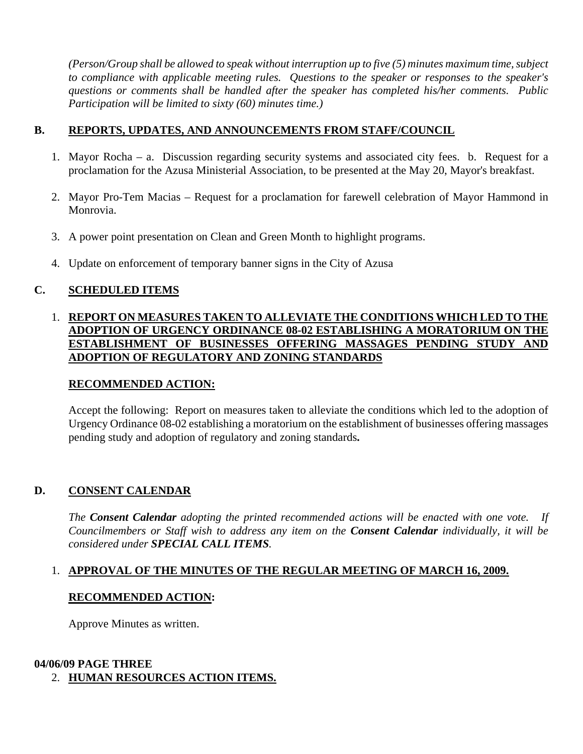*(Person/Group shall be allowed to speak without interruption up to five (5) minutes maximum time, subject to compliance with applicable meeting rules. Questions to the speaker or responses to the speaker's questions or comments shall be handled after the speaker has completed his/her comments. Public Participation will be limited to sixty (60) minutes time.)* 

#### **B. REPORTS, UPDATES, AND ANNOUNCEMENTS FROM STAFF/COUNCIL**

- 1. Mayor Rocha a. Discussion regarding security systems and associated city fees. b. Request for a proclamation for the Azusa Ministerial Association, to be presented at the May 20, Mayor's breakfast.
- 2. Mayor Pro-Tem Macias Request for a proclamation for farewell celebration of Mayor Hammond in Monrovia.
- 3. A power point presentation on Clean and Green Month to highlight programs.
- 4. Update on enforcement of temporary banner signs in the City of Azusa

# **C. SCHEDULED ITEMS**

# 1. **REPORT ON MEASURES TAKEN TO ALLEVIATE THE CONDITIONS WHICH LED TO THE ADOPTION OF URGENCY ORDINANCE 08-02 ESTABLISHING A MORATORIUM ON THE ESTABLISHMENT OF BUSINESSES OFFERING MASSAGES PENDING STUDY AND ADOPTION OF REGULATORY AND ZONING STANDARDS**

# **RECOMMENDED ACTION:**

 Accept the following: Report on measures taken to alleviate the conditions which led to the adoption of Urgency Ordinance 08-02 establishing a moratorium on the establishment of businesses offering massages pending study and adoption of regulatory and zoning standards**.** 

# **D. CONSENT CALENDAR**

*The Consent Calendar adopting the printed recommended actions will be enacted with one vote. If Councilmembers or Staff wish to address any item on the Consent Calendar individually, it will be considered under SPECIAL CALL ITEMS.* 

# 1. **APPROVAL OF THE MINUTES OF THE REGULAR MEETING OF MARCH 16, 2009.**

# **RECOMMENDED ACTION:**

Approve Minutes as written.

# **04/06/09 PAGE THREE**

2. **HUMAN RESOURCES ACTION ITEMS.**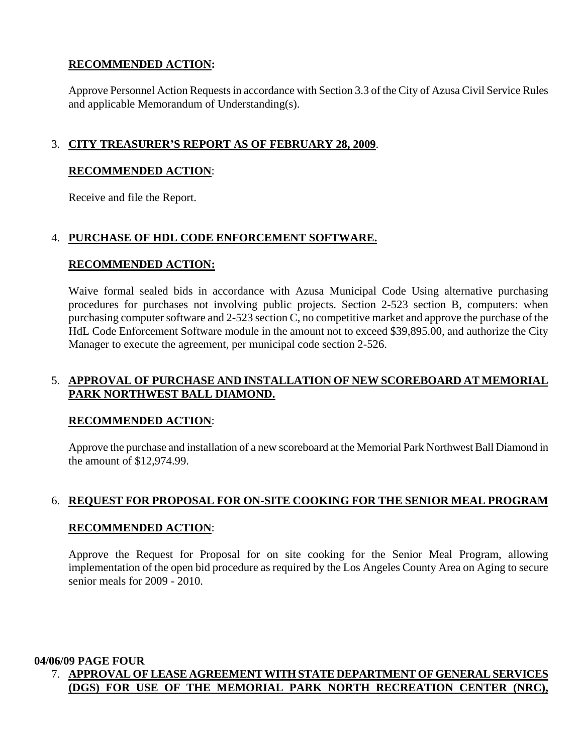# **RECOMMENDED ACTION:**

 Approve Personnel Action Requests in accordance with Section 3.3 of the City of Azusa Civil Service Rules and applicable Memorandum of Understanding(s).

# 3. **CITY TREASURER'S REPORT AS OF FEBRUARY 28, 2009**.

#### **RECOMMENDED ACTION**:

Receive and file the Report.

# 4. **PURCHASE OF HDL CODE ENFORCEMENT SOFTWARE.**

#### **RECOMMENDED ACTION:**

 Waive formal sealed bids in accordance with Azusa Municipal Code Using alternative purchasing procedures for purchases not involving public projects. Section 2-523 section B, computers: when purchasing computer software and 2-523 section C, no competitive market and approve the purchase of the HdL Code Enforcement Software module in the amount not to exceed \$39,895.00, and authorize the City Manager to execute the agreement, per municipal code section 2-526.

# 5. **APPROVAL OF PURCHASE AND INSTALLATION OF NEW SCOREBOARD AT MEMORIAL PARK NORTHWEST BALL DIAMOND.**

# **RECOMMENDED ACTION**:

 Approve the purchase and installation of a new scoreboard at the Memorial Park Northwest Ball Diamond in the amount of \$12,974.99.

# 6. **REQUEST FOR PROPOSAL FOR ON-SITE COOKING FOR THE SENIOR MEAL PROGRAM**

# **RECOMMENDED ACTION**:

 Approve the Request for Proposal for on site cooking for the Senior Meal Program, allowing implementation of the open bid procedure as required by the Los Angeles County Area on Aging to secure senior meals for 2009 - 2010.

**04/06/09 PAGE FOUR** 

# 7. **APPROVAL OF LEASE AGREEMENT WITH STATE DEPARTMENT OF GENERAL SERVICES (DGS) FOR USE OF THE MEMORIAL PARK NORTH RECREATION CENTER (NRC),**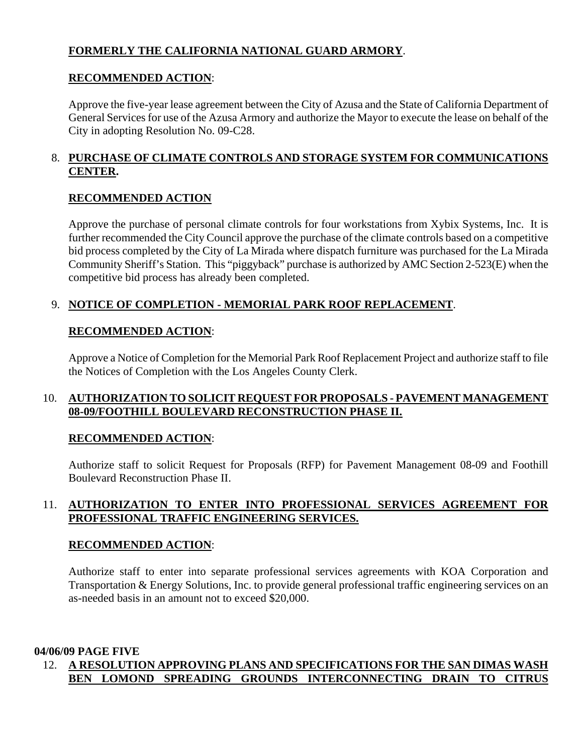# **FORMERLY THE CALIFORNIA NATIONAL GUARD ARMORY**.

# **RECOMMENDED ACTION**:

 Approve the five-year lease agreement between the City of Azusa and the State of California Department of General Services for use of the Azusa Armory and authorize the Mayor to execute the lease on behalf of the City in adopting Resolution No. 09-C28.

# 8. **PURCHASE OF CLIMATE CONTROLS AND STORAGE SYSTEM FOR COMMUNICATIONS CENTER.**

# **RECOMMENDED ACTION**

 Approve the purchase of personal climate controls for four workstations from Xybix Systems, Inc. It is further recommended the City Council approve the purchase of the climate controls based on a competitive bid process completed by the City of La Mirada where dispatch furniture was purchased for the La Mirada Community Sheriff's Station. This "piggyback" purchase is authorized by AMC Section 2-523(E) when the competitive bid process has already been completed.

# 9. **NOTICE OF COMPLETION - MEMORIAL PARK ROOF REPLACEMENT**.

# **RECOMMENDED ACTION**:

 Approve a Notice of Completion for the Memorial Park Roof Replacement Project and authorize staff to file the Notices of Completion with the Los Angeles County Clerk.

# 10. **AUTHORIZATION TO SOLICIT REQUEST FOR PROPOSALS - PAVEMENT MANAGEMENT 08-09/FOOTHILL BOULEVARD RECONSTRUCTION PHASE II.**

# **RECOMMENDED ACTION**:

 Authorize staff to solicit Request for Proposals (RFP) for Pavement Management 08-09 and Foothill Boulevard Reconstruction Phase II.

# 11. **AUTHORIZATION TO ENTER INTO PROFESSIONAL SERVICES AGREEMENT FOR PROFESSIONAL TRAFFIC ENGINEERING SERVICES.**

# **RECOMMENDED ACTION**:

 Authorize staff to enter into separate professional services agreements with KOA Corporation and Transportation & Energy Solutions, Inc. to provide general professional traffic engineering services on an as-needed basis in an amount not to exceed \$20,000.

# **04/06/09 PAGE FIVE**

# 12. **A RESOLUTION APPROVING PLANS AND SPECIFICATIONS FOR THE SAN DIMAS WASH BEN LOMOND SPREADING GROUNDS INTERCONNECTING DRAIN TO CITRUS**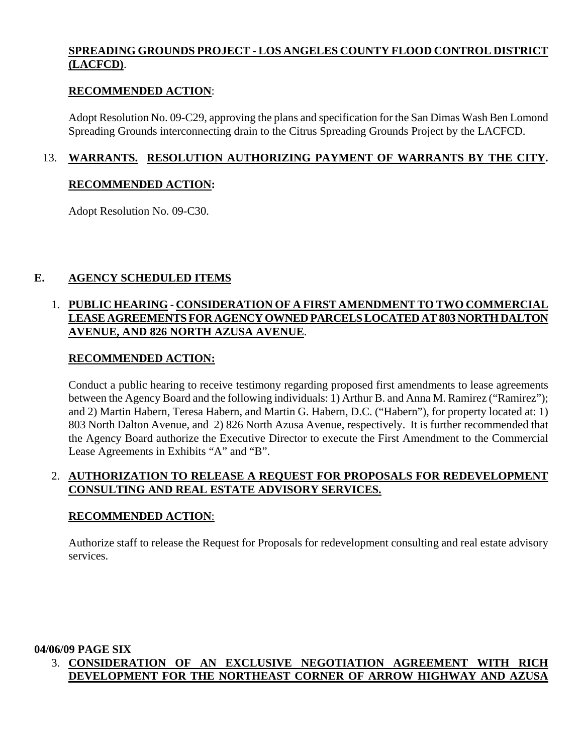# **SPREADING GROUNDS PROJECT - LOS ANGELES COUNTY FLOOD CONTROL DISTRICT (LACFCD)**.

#### **RECOMMENDED ACTION**:

 Adopt Resolution No. 09-C29, approving the plans and specification for the San Dimas Wash Ben Lomond Spreading Grounds interconnecting drain to the Citrus Spreading Grounds Project by the LACFCD.

# 13. **WARRANTS. RESOLUTION AUTHORIZING PAYMENT OF WARRANTS BY THE CITY.**

#### **RECOMMENDED ACTION:**

Adopt Resolution No. 09-C30.

# **E. AGENCY SCHEDULED ITEMS**

# 1. **PUBLIC HEARING** - **CONSIDERATION OF A FIRST AMENDMENT TO TWO COMMERCIAL LEASE AGREEMENTS FOR AGENCY OWNED PARCELS LOCATED AT 803 NORTH DALTON AVENUE, AND 826 NORTH AZUSA AVENUE**.

#### **RECOMMENDED ACTION:**

 Conduct a public hearing to receive testimony regarding proposed first amendments to lease agreements between the Agency Board and the following individuals: 1) Arthur B. and Anna M. Ramirez ("Ramirez"); and 2) Martin Habern, Teresa Habern, and Martin G. Habern, D.C. ("Habern"), for property located at: 1) 803 North Dalton Avenue, and 2) 826 North Azusa Avenue, respectively. It is further recommended that the Agency Board authorize the Executive Director to execute the First Amendment to the Commercial Lease Agreements in Exhibits "A" and "B".

# 2. **AUTHORIZATION TO RELEASE A REQUEST FOR PROPOSALS FOR REDEVELOPMENT CONSULTING AND REAL ESTATE ADVISORY SERVICES.**

# **RECOMMENDED ACTION**:

 Authorize staff to release the Request for Proposals for redevelopment consulting and real estate advisory services.

#### **04/06/09 PAGE SIX**

# 3. **CONSIDERATION OF AN EXCLUSIVE NEGOTIATION AGREEMENT WITH RICH DEVELOPMENT FOR THE NORTHEAST CORNER OF ARROW HIGHWAY AND AZUSA**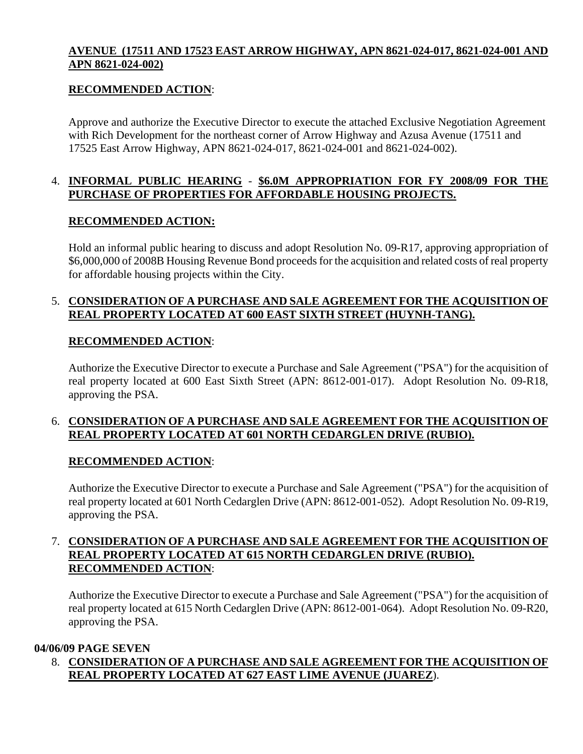# **AVENUE (17511 AND 17523 EAST ARROW HIGHWAY, APN 8621-024-017, 8621-024-001 AND APN 8621-024-002)**

# **RECOMMENDED ACTION**:

 Approve and authorize the Executive Director to execute the attached Exclusive Negotiation Agreement with Rich Development for the northeast corner of Arrow Highway and Azusa Avenue (17511 and 17525 East Arrow Highway, APN 8621-024-017, 8621-024-001 and 8621-024-002).

# 4. **INFORMAL PUBLIC HEARING** - **\$6.0M APPROPRIATION FOR FY 2008/09 FOR THE PURCHASE OF PROPERTIES FOR AFFORDABLE HOUSING PROJECTS.**

#### **RECOMMENDED ACTION:**

 Hold an informal public hearing to discuss and adopt Resolution No. 09-R17, approving appropriation of \$6,000,000 of 2008B Housing Revenue Bond proceeds for the acquisition and related costs of real property for affordable housing projects within the City.

# 5. **CONSIDERATION OF A PURCHASE AND SALE AGREEMENT FOR THE ACQUISITION OF REAL PROPERTY LOCATED AT 600 EAST SIXTH STREET (HUYNH-TANG).**

# **RECOMMENDED ACTION**:

 Authorize the Executive Director to execute a Purchase and Sale Agreement ("PSA") for the acquisition of real property located at 600 East Sixth Street (APN: 8612-001-017). Adopt Resolution No. 09-R18, approving the PSA.

# 6. **CONSIDERATION OF A PURCHASE AND SALE AGREEMENT FOR THE ACQUISITION OF REAL PROPERTY LOCATED AT 601 NORTH CEDARGLEN DRIVE (RUBIO).**

# **RECOMMENDED ACTION**:

 Authorize the Executive Director to execute a Purchase and Sale Agreement ("PSA") for the acquisition of real property located at 601 North Cedarglen Drive (APN: 8612-001-052). Adopt Resolution No. 09-R19, approving the PSA.

# 7. **CONSIDERATION OF A PURCHASE AND SALE AGREEMENT FOR THE ACQUISITION OF REAL PROPERTY LOCATED AT 615 NORTH CEDARGLEN DRIVE (RUBIO). RECOMMENDED ACTION**:

 Authorize the Executive Director to execute a Purchase and Sale Agreement ("PSA") for the acquisition of real property located at 615 North Cedarglen Drive (APN: 8612-001-064). Adopt Resolution No. 09-R20, approving the PSA.

#### **04/06/09 PAGE SEVEN**

 8. **CONSIDERATION OF A PURCHASE AND SALE AGREEMENT FOR THE ACQUISITION OF REAL PROPERTY LOCATED AT 627 EAST LIME AVENUE (JUAREZ**).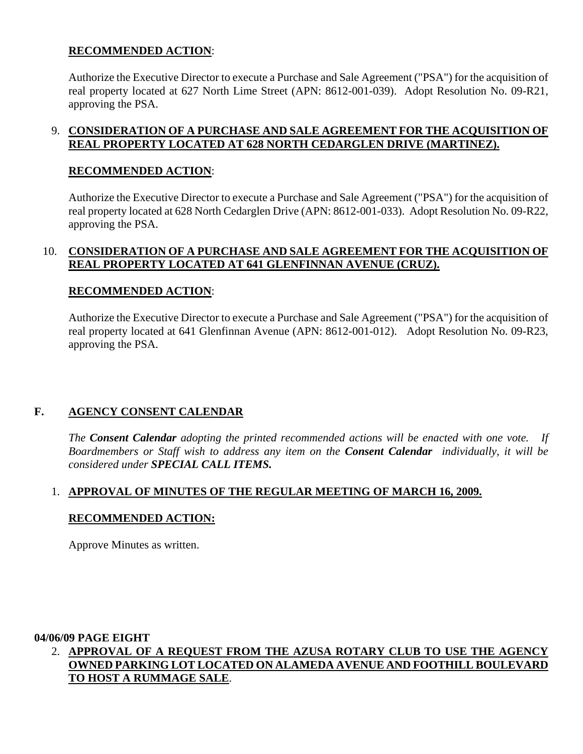# **RECOMMENDED ACTION**:

 Authorize the Executive Director to execute a Purchase and Sale Agreement ("PSA") for the acquisition of real property located at 627 North Lime Street (APN: 8612-001-039). Adopt Resolution No. 09-R21, approving the PSA.

# 9. **CONSIDERATION OF A PURCHASE AND SALE AGREEMENT FOR THE ACQUISITION OF REAL PROPERTY LOCATED AT 628 NORTH CEDARGLEN DRIVE (MARTINEZ).**

# **RECOMMENDED ACTION**:

 Authorize the Executive Director to execute a Purchase and Sale Agreement ("PSA") for the acquisition of real property located at 628 North Cedarglen Drive (APN: 8612-001-033). Adopt Resolution No. 09-R22, approving the PSA.

# 10. **CONSIDERATION OF A PURCHASE AND SALE AGREEMENT FOR THE ACQUISITION OF REAL PROPERTY LOCATED AT 641 GLENFINNAN AVENUE (CRUZ).**

# **RECOMMENDED ACTION**:

 Authorize the Executive Director to execute a Purchase and Sale Agreement ("PSA") for the acquisition of real property located at 641 Glenfinnan Avenue (APN: 8612-001-012).Adopt Resolution No. 09-R23, approving the PSA.

# **F. AGENCY CONSENT CALENDAR**

 *The Consent Calendar adopting the printed recommended actions will be enacted with one vote. If Boardmembers or Staff wish to address any item on the Consent Calendar individually, it will be considered under SPECIAL CALL ITEMS.* 

# 1. **APPROVAL OF MINUTES OF THE REGULAR MEETING OF MARCH 16, 2009.**

# **RECOMMENDED ACTION:**

Approve Minutes as written.

# **04/06/09 PAGE EIGHT**

 2. **APPROVAL OF A REQUEST FROM THE AZUSA ROTARY CLUB TO USE THE AGENCY OWNED PARKING LOT LOCATED ON ALAMEDA AVENUE AND FOOTHILL BOULEVARD TO HOST A RUMMAGE SALE**.